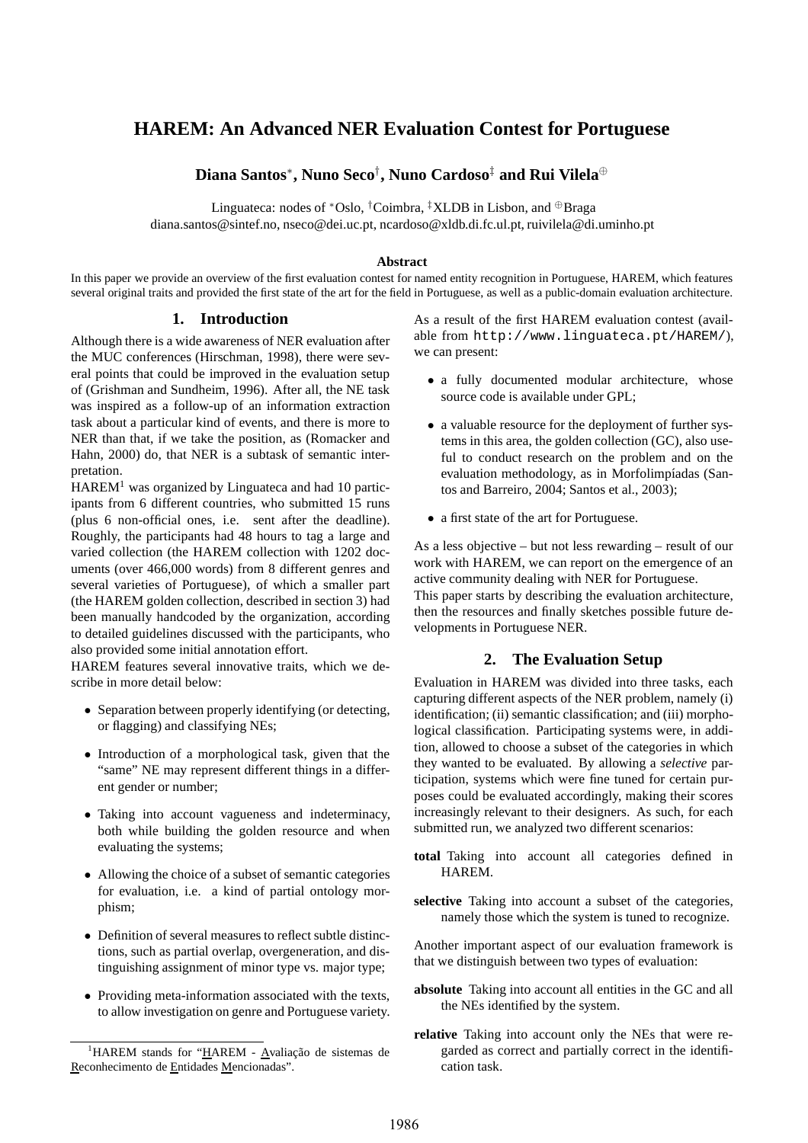# **HAREM: An Advanced NER Evaluation Contest for Portuguese**

**Diana Santos**<sup>∗</sup> **, Nuno Seco**† **, Nuno Cardoso**‡ **and Rui Vilela**<sup>⊕</sup>

Linguateca: nodes of \*Oslo, <sup>†</sup>Coimbra, <sup>‡</sup>XLDB in Lisbon, and  $\oplus$ Braga diana.santos@sintef.no, nseco@dei.uc.pt, ncardoso@xldb.di.fc.ul.pt, ruivilela@di.uminho.pt

#### **Abstract**

In this paper we provide an overview of the first evaluation contest for named entity recognition in Portuguese, HAREM, which features several original traits and provided the first state of the art for the field in Portuguese, as well as a public-domain evaluation architecture.

## **1. Introduction**

Although there is a wide awareness of NER evaluation after the MUC conferences (Hirschman, 1998), there were several points that could be improved in the evaluation setup of (Grishman and Sundheim, 1996). After all, the NE task was inspired as a follow-up of an information extraction task about a particular kind of events, and there is more to NER than that, if we take the position, as (Romacker and Hahn, 2000) do, that NER is a subtask of semantic interpretation.

 $HAREN<sup>1</sup>$  was organized by Linguateca and had 10 participants from 6 different countries, who submitted 15 runs (plus 6 non-official ones, i.e. sent after the deadline). Roughly, the participants had 48 hours to tag a large and varied collection (the HAREM collection with 1202 documents (over 466,000 words) from 8 different genres and several varieties of Portuguese), of which a smaller part (the HAREM golden collection, described in section 3) had been manually handcoded by the organization, according to detailed guidelines discussed with the participants, who also provided some initial annotation effort.

HAREM features several innovative traits, which we describe in more detail below:

- Separation between properly identifying (or detecting, or flagging) and classifying NEs;
- Introduction of a morphological task, given that the "same" NE may represent different things in a different gender or number;
- Taking into account vagueness and indeterminacy, both while building the golden resource and when evaluating the systems;
- Allowing the choice of a subset of semantic categories for evaluation, i.e. a kind of partial ontology morphism;
- Definition of several measures to reflect subtle distinctions, such as partial overlap, overgeneration, and distinguishing assignment of minor type vs. major type;
- Providing meta-information associated with the texts, to allow investigation on genre and Portuguese variety.

As a result of the first HAREM evaluation contest (available from http://www.linguateca.pt/HAREM/), we can present:

- a fully documented modular architecture, whose source code is available under GPL;
- a valuable resource for the deployment of further systems in this area, the golden collection (GC), also useful to conduct research on the problem and on the evaluation methodology, as in Morfolimpíadas (Santos and Barreiro, 2004; Santos et al., 2003);
- a first state of the art for Portuguese.

As a less objective – but not less rewarding – result of our work with HAREM, we can report on the emergence of an active community dealing with NER for Portuguese. This paper starts by describing the evaluation architecture, then the resources and finally sketches possible future developments in Portuguese NER.

# **2. The Evaluation Setup**

Evaluation in HAREM was divided into three tasks, each capturing different aspects of the NER problem, namely (i) identification; (ii) semantic classification; and (iii) morphological classification. Participating systems were, in addition, allowed to choose a subset of the categories in which they wanted to be evaluated. By allowing a *selective* participation, systems which were fine tuned for certain purposes could be evaluated accordingly, making their scores increasingly relevant to their designers. As such, for each submitted run, we analyzed two different scenarios:

- **total** Taking into account all categories defined in HAREM.
- **selective** Taking into account a subset of the categories, namely those which the system is tuned to recognize.

Another important aspect of our evaluation framework is that we distinguish between two types of evaluation:

- **absolute** Taking into account all entities in the GC and all the NEs identified by the system.
- **relative** Taking into account only the NEs that were regarded as correct and partially correct in the identification task.

 $1HAREM$  stands for "HAREM - Avaliação de sistemas de Reconhecimento de Entidades Mencionadas".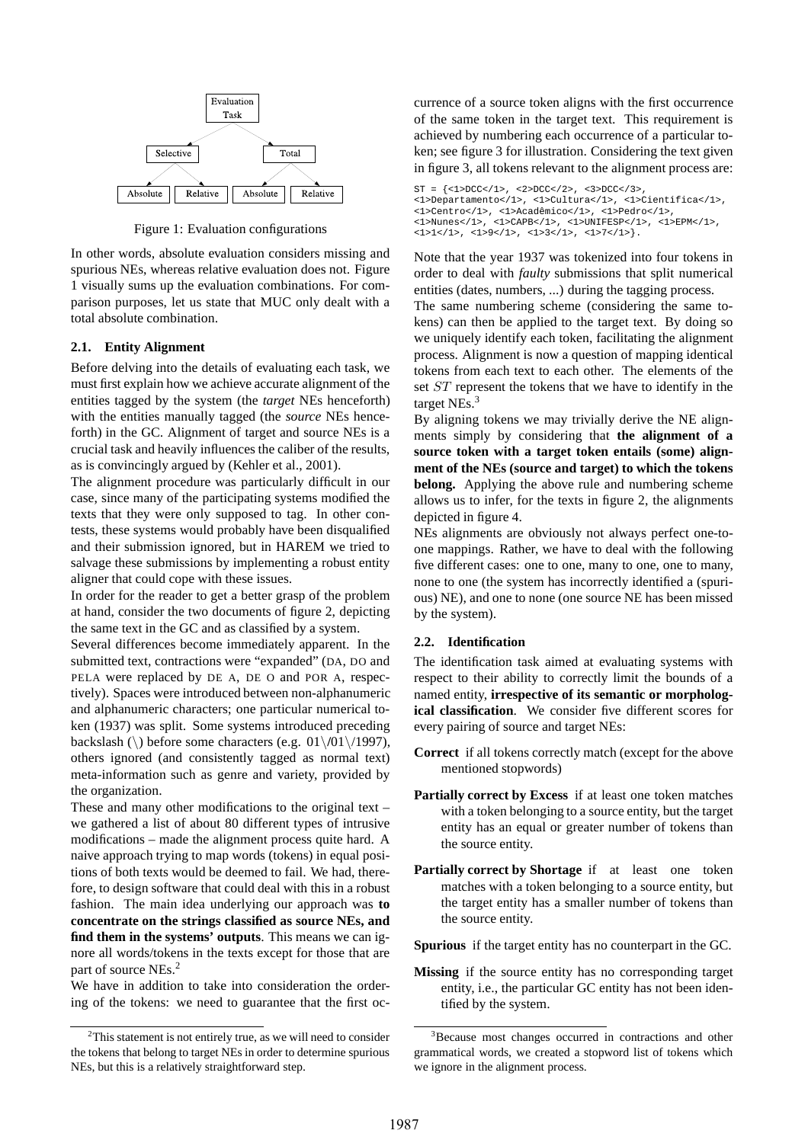

Figure 1: Evaluation configurations

In other words, absolute evaluation considers missing and spurious NEs, whereas relative evaluation does not. Figure 1 visually sums up the evaluation combinations. For comparison purposes, let us state that MUC only dealt with a total absolute combination.

#### **2.1. Entity Alignment**

Before delving into the details of evaluating each task, we must first explain how we achieve accurate alignment of the entities tagged by the system (the *target* NEs henceforth) with the entities manually tagged (the *source* NEs henceforth) in the GC. Alignment of target and source NEs is a crucial task and heavily influences the caliber of the results, as is convincingly argued by (Kehler et al., 2001).

The alignment procedure was particularly difficult in our case, since many of the participating systems modified the texts that they were only supposed to tag. In other contests, these systems would probably have been disqualified and their submission ignored, but in HAREM we tried to salvage these submissions by implementing a robust entity aligner that could cope with these issues.

In order for the reader to get a better grasp of the problem at hand, consider the two documents of figure 2, depicting the same text in the GC and as classified by a system.

Several differences become immediately apparent. In the submitted text, contractions were "expanded" (DA, DO and PELA were replaced by DE A, DE O and POR A, respectively). Spaces were introduced between non-alphanumeric and alphanumeric characters; one particular numerical token (1937) was split. Some systems introduced preceding backslash (\) before some characters (e.g. 01\**/**01\/1997), others ignored (and consistently tagged as normal text) meta-information such as genre and variety, provided by the organization.

These and many other modifications to the original text – we gathered a list of about 80 different types of intrusive modifications – made the alignment process quite hard. A naive approach trying to map words (tokens) in equal positions of both texts would be deemed to fail. We had, therefore, to design software that could deal with this in a robust fashion. The main idea underlying our approach was **to concentrate on the strings classified as source NEs, and find them in the systems' outputs**. This means we can ignore all words/tokens in the texts except for those that are part of source NEs.<sup>2</sup>

We have in addition to take into consideration the ordering of the tokens: we need to guarantee that the first occurrence of a source token aligns with the first occurrence of the same token in the target text. This requirement is achieved by numbering each occurrence of a particular token; see figure 3 for illustration. Considering the text given in figure 3, all tokens relevant to the alignment process are:

```
ST = \{ <1 > DCC</i>< / 1 > , <2 > DCC</i>< / 2 > , <3 > DCC</i>< / 3 > ,<1>Departamento</1>, <1>Cultura</1>, <1>Cient´ıfica</1>,
<1>Centro</1>, <1>Acadˆemico</1>, <1>Pedro</1>,
<1>Nunes</1>, <1>CAPB</1>, <1>UNIFESP</1>, <1>EPM</1>,
<1>1</math><>|1>1</sup>, <math><1>1</math>, <math><1>1</math><|2</sup>, <math><1>1</math><|3</sup>, <math><1>1</math><|4</sup>, <math><1>1</math><|3</sup>, <math><1>1</math><|4</sup>, <math><1>1</math><|4</sup>, <math><1>1</math><|5</sup>, <math><1</math><|4</sup>, <math><1</math><|5</sup>, <math><1</math><|6</sup>, <math><1</math><|7</sup>, <math><1</math><|8</sup>, <math><1</math><|9</sup>, <math><1</math><|1</sup>, <math><1</math><|1</sup>, <math><
```
Note that the year 1937 was tokenized into four tokens in order to deal with *faulty* submissions that split numerical entities (dates, numbers, ...) during the tagging process.

The same numbering scheme (considering the same tokens) can then be applied to the target text. By doing so we uniquely identify each token, facilitating the alignment process. Alignment is now a question of mapping identical tokens from each text to each other. The elements of the set ST represent the tokens that we have to identify in the target NEs.<sup>3</sup>

By aligning tokens we may trivially derive the NE alignments simply by considering that **the alignment of a source token with a target token entails (some) alignment of the NEs (source and target) to which the tokens belong.** Applying the above rule and numbering scheme allows us to infer, for the texts in figure 2, the alignments depicted in figure 4.

NEs alignments are obviously not always perfect one-toone mappings. Rather, we have to deal with the following five different cases: one to one, many to one, one to many, none to one (the system has incorrectly identified a (spurious) NE), and one to none (one source NE has been missed by the system).

#### **2.2. Identification**

The identification task aimed at evaluating systems with respect to their ability to correctly limit the bounds of a named entity, **irrespective of its semantic or morphological classification**. We consider five different scores for every pairing of source and target NEs:

- **Correct** if all tokens correctly match (except for the above mentioned stopwords)
- **Partially correct by Excess** if at least one token matches with a token belonging to a source entity, but the target entity has an equal or greater number of tokens than the source entity.
- **Partially correct by Shortage** if at least one token matches with a token belonging to a source entity, but the target entity has a smaller number of tokens than the source entity.

**Spurious** if the target entity has no counterpart in the GC.

**Missing** if the source entity has no corresponding target entity, i.e., the particular GC entity has not been identified by the system.

 $2$ This statement is not entirely true, as we will need to consider the tokens that belong to target NEs in order to determine spurious NEs, but this is a relatively straightforward step.

<sup>&</sup>lt;sup>3</sup>Because most changes occurred in contractions and other grammatical words, we created a stopword list of tokens which we ignore in the alignment process.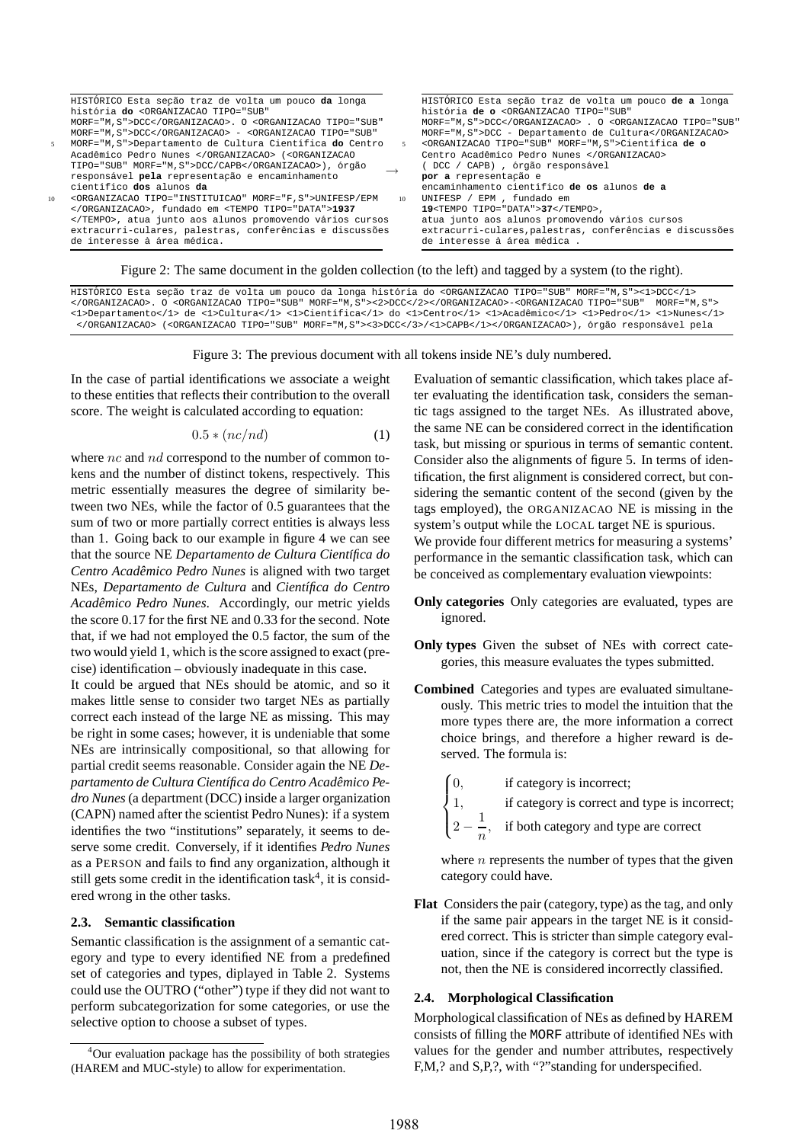|                 | HISTORICO Esta seção traz de volta um pouco da longa                                                                                                         |    | HISTORICO Esta seção traz de volta um pouco de a longa           |
|-----------------|--------------------------------------------------------------------------------------------------------------------------------------------------------------|----|------------------------------------------------------------------|
|                 | história do <organizacao <="" td="" tipo="SUB"><td></td><td>história de o <organizacao <="" td="" tipo="SUB"></organizacao></td></organizacao>               |    | história de o <organizacao <="" td="" tipo="SUB"></organizacao>  |
|                 | MORF="M.S">DCC. 0 <organizacao <="" td="" tipo="SUB"><td></td><td>MORF="M.S"&gt;DCC</td></organizacao> . O <organizacao <="" td="" tipo="SUB"></organizacao> |    | MORF="M.S">DCC                                                   |
|                 | MORF="M, S">DCC - <organizacao <="" td="" tipo="SUB"><td></td><td>MORF="M, S"&gt;DCC - Departamento de Cultura</td></organizacao>                            |    | MORF="M, S">DCC - Departamento de Cultura                        |
| 5               | MORF="M, S">Departamento de Cultura Científica do Centro                                                                                                     | 5  | <organizacao morf="M.S" tipo="SUB">Científica de o</organizacao> |
|                 | Acadêmico Pedro Nunes  ( <organizacao< td=""><td></td><td>Centro Acadêmico Pedro Nunes </td></organizacao<>                                                  |    | Centro Acadêmico Pedro Nunes                                     |
|                 | TIPO="SUB" MORF="M, S">DCC/CAPB), órgão                                                                                                                      |    | (DCC / CAPB), órgão responsável                                  |
|                 | responsável pela representação e encaminhamento                                                                                                              |    | por a representação e                                            |
|                 | científico dos alunos da                                                                                                                                     |    | encaminhamento científico de os alunos de a                      |
| 10 <sup>1</sup> | <organizacao morf="F, S" tipo="INSTITUICAO">UNIFESP/EPM</organizacao>                                                                                        | 10 | UNIFESP / EPM , fundado em                                       |
|                 | , fundado em <tempo tipo="DATA">1937</tempo>                                                                                                                 |    | 19 <tempo tipo="DATA">37</tempo> ,                               |
|                 | , atua junto aos alunos promovendo vários cursos                                                                                                             |    | atua junto aos alunos promovendo vários cursos                   |
|                 | extracurri-culares, palestras, conferências e discussões                                                                                                     |    | extracurri-culares, palestras, conferências e discussões         |
|                 | de interesse à área médica.                                                                                                                                  |    | de interesse à área médica.                                      |
|                 |                                                                                                                                                              |    |                                                                  |

Figure 2: The same document in the golden collection (to the left) and tagged by a system (to the right).

HISTÓRICO Esta seção traz de volta um pouco da longa história do <ORGANIZACAO TIPO="SUB" MORF="M,S"><1>DCC</1> </ORGANIZACAO>. O <ORGANIZACAO TIPO="SUB" MORF="M,S"><2>DCC</2></ORGANIZACAO>-<ORGANIZACAO TIPO="SUB" MORF="M,S"> <1>Departamento</1> de <1>Cultura</1> <1>Cient´ıfica</1> do <1>Centro</1> <1>Acadˆemico</1> <1>Pedro</1> <1>Nunes</1> </ORGANIZACAO> (<ORGANIZACAO TIPO="SUB" MORF="M,S"><3>DCC</3>/<1>CAPB</1></ORGANIZACAO>), órgão responsável pela

Figure 3: The previous document with all tokens inside NE's duly numbered.

In the case of partial identifications we associate a weight to these entities that reflects their contribution to the overall score. The weight is calculated according to equation:

$$
0.5 * (nc/nd) \tag{1}
$$

where *nc* and *nd* correspond to the number of common tokens and the number of distinct tokens, respectively. This metric essentially measures the degree of similarity between two NEs, while the factor of 0.5 guarantees that the sum of two or more partially correct entities is always less than 1. Going back to our example in figure 4 we can see that the source NE *Departamento de Cultura Científica do Centro Acadêmico Pedro Nunes* is aligned with two target NEs, *Departamento de Cultura* and *Cient´ıfica do Centro Academico Pedro Nunes ˆ* . Accordingly, our metric yields the score 0.17 for the first NE and 0.33 for the second. Note that, if we had not employed the 0.5 factor, the sum of the two would yield 1, which is the score assigned to exact (precise) identification – obviously inadequate in this case.

It could be argued that NEs should be atomic, and so it makes little sense to consider two target NEs as partially correct each instead of the large NE as missing. This may be right in some cases; however, it is undeniable that some NEs are intrinsically compositional, so that allowing for partial credit seems reasonable. Consider again the NE *Departamento de Cultura Cient´ıfica do Centro Academico Pe- ˆ dro Nunes*(a department (DCC) inside a larger organization (CAPN) named after the scientist Pedro Nunes): if a system identifies the two "institutions" separately, it seems to deserve some credit. Conversely, if it identifies *Pedro Nunes* as a PERSON and fails to find any organization, although it still gets some credit in the identification task<sup>4</sup>, it is considered wrong in the other tasks.

#### **2.3. Semantic classification**

Semantic classification is the assignment of a semantic category and type to every identified NE from a predefined set of categories and types, diplayed in Table 2. Systems could use the OUTRO ("other") type if they did not want to perform subcategorization for some categories, or use the selective option to choose a subset of types.

Evaluation of semantic classification, which takes place after evaluating the identification task, considers the semantic tags assigned to the target NEs. As illustrated above, the same NE can be considered correct in the identification task, but missing or spurious in terms of semantic content. Consider also the alignments of figure 5. In terms of identification, the first alignment is considered correct, but considering the semantic content of the second (given by the tags employed), the ORGANIZACAO NE is missing in the system's output while the LOCAL target NE is spurious. We provide four different metrics for measuring a systems' performance in the semantic classification task, which can be conceived as complementary evaluation viewpoints:

- **Only categories** Only categories are evaluated, types are ignored.
- **Only types** Given the subset of NEs with correct categories, this measure evaluates the types submitted.
- **Combined** Categories and types are evaluated simultaneously. This metric tries to model the intuition that the more types there are, the more information a correct choice brings, and therefore a higher reward is deserved. The formula is:
	- ſn if category is incorrect;
	- $\int$  1, if category is correct and type is incorrect;
		- $2 -$ 1 n , if both category and type are correct

where  $n$  represents the number of types that the given category could have.

**Flat** Considers the pair (category, type) as the tag, and only if the same pair appears in the target NE is it considered correct. This is stricter than simple category evaluation, since if the category is correct but the type is not, then the NE is considered incorrectly classified.

#### **2.4. Morphological Classification**

 $\overline{\mathcal{L}}$ 

Morphological classification of NEs as defined by HAREM consists of filling the MORF attribute of identified NEs with values for the gender and number attributes, respectively F,M,? and S,P,?, with "?"standing for underspecified.

<sup>4</sup>Our evaluation package has the possibility of both strategies (HAREM and MUC-style) to allow for experimentation.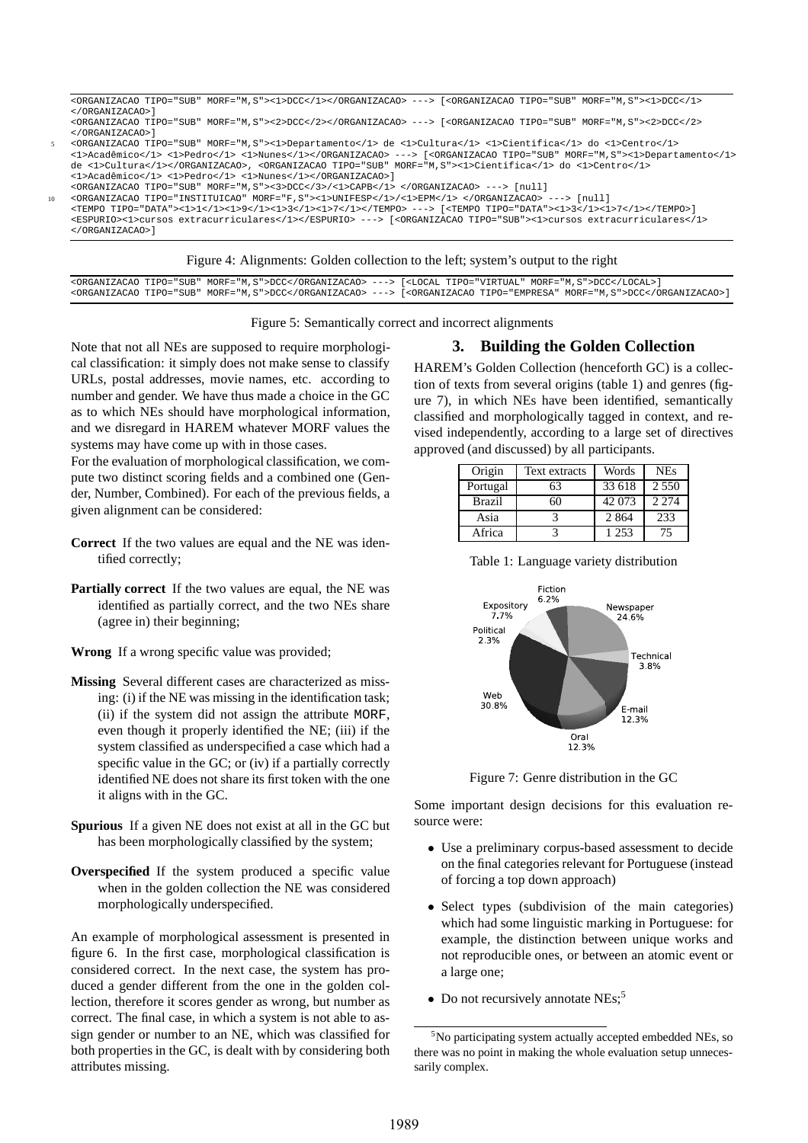```
<ORGANIZACAO TIPO="SUB" MORF="M,S"><1>DCC</1></ORGANIZACAO> ---> [<ORGANIZACAO TIPO="SUB" MORF="M,S"><1>DCC</1>
</ORGANIZACAO>]
<ORGANIZACAO TIPO="SUB" MORF="M,S"><2>DCC</2></ORGANIZACAO> ---> [<ORGANIZACAO TIPO="SUB" MORF="M,S"><2>DCC</2>
</ORGANIZACAO>]
5 <ORGANIZACAO TIPO="SUB" MORF="M,S"><1>Departamento</1> de <1>Cultura</1> <1>Cient´ıfica</1> do <1>Centro</1>
<1>Acadˆemico</1> <1>Pedro</1> <1>Nunes</1></ORGANIZACAO> ---> [<ORGANIZACAO TIPO="SUB" MORF="M,S"><1>Departamento</1>
de <1>Cultura</1></ORGANIZACAO>, <ORGANIZACAO TIPO="SUB" MORF="M,S"><1>Cient´ıfica</1> do <1>Centro</1>
<1>Acadˆemico</1> <1>Pedro</1> <1>Nunes</1></ORGANIZACAO>]
<ORGANIZACAO TIPO="SUB" MORF="M,S"><3>DCC</3>/<1>CAPB</1> </ORGANIZACAO> ---> [null]
10 <ORGANIZACAO TIPO="INSTITUICAO" MORF="F,S"><1>UNIFESP</1>/<1>EPM</1> </ORGANIZACAO> ---> [null]
<TEMPO TIPO="DATA"><1>1</1><1>9</1><1>3</1><1>7</1></1></TEMPO> -
<ESPURIO><1>cursos extracurriculares</1></ESPURIO> ---> [<ORGANIZACAO TIPO="SUB"><1>cursos extracurriculares</1>
</ORGANIZACAO>]
```
Figure 4: Alignments: Golden collection to the left; system's output to the right

<ORGANIZACAO TIPO="SUB" MORF="M,S">DCC</ORGANIZACAO> ---> [<LOCAL TIPO="VIRTUAL" MORF="M,S">DCC</LOCAL>] <ORGANIZACAO TIPO="SUB" MORF="M,S">DCC</ORGANIZACAO> ---> [<ORGANIZACAO TIPO="EMPRESA" MORF="M,S">DCC</ORGANIZACAO>]

Figure 5: Semantically correct and incorrect alignments

Note that not all NEs are supposed to require morphological classification: it simply does not make sense to classify URLs, postal addresses, movie names, etc. according to number and gender. We have thus made a choice in the GC as to which NEs should have morphological information, and we disregard in HAREM whatever MORF values the systems may have come up with in those cases.

For the evaluation of morphological classification, we compute two distinct scoring fields and a combined one (Gender, Number, Combined). For each of the previous fields, a given alignment can be considered:

- **Correct** If the two values are equal and the NE was identified correctly;
- **Partially correct** If the two values are equal, the NE was identified as partially correct, and the two NEs share (agree in) their beginning;

**Wrong** If a wrong specific value was provided;

- **Missing** Several different cases are characterized as missing: (i) if the NE was missing in the identification task; (ii) if the system did not assign the attribute MORF, even though it properly identified the NE; (iii) if the system classified as underspecified a case which had a specific value in the GC; or (iv) if a partially correctly identified NE does not share its first token with the one it aligns with in the GC.
- **Spurious** If a given NE does not exist at all in the GC but has been morphologically classified by the system;
- **Overspecified** If the system produced a specific value when in the golden collection the NE was considered morphologically underspecified.

An example of morphological assessment is presented in figure 6. In the first case, morphological classification is considered correct. In the next case, the system has produced a gender different from the one in the golden collection, therefore it scores gender as wrong, but number as correct. The final case, in which a system is not able to assign gender or number to an NE, which was classified for both properties in the GC, is dealt with by considering both attributes missing.

# **3. Building the Golden Collection**

HAREM's Golden Collection (henceforth GC) is a collection of texts from several origins (table 1) and genres (figure 7), in which NEs have been identified, semantically classified and morphologically tagged in context, and revised independently, according to a large set of directives approved (and discussed) by all participants.

| Origin        | <b>Text extracts</b> | Words   | <b>NEs</b> |
|---------------|----------------------|---------|------------|
| Portugal      | 63                   | 33 618  | 2 5 5 0    |
| <b>Brazil</b> | 60                   | 42 073  | 2.274      |
| Asia          |                      | 2 8 6 4 | 233        |
| Africa        |                      | 1 253   | 75         |

Table 1: Language variety distribution



Figure 7: Genre distribution in the GC

Some important design decisions for this evaluation resource were:

- Use a preliminary corpus-based assessment to decide on the final categories relevant for Portuguese (instead of forcing a top down approach)
- Select types (subdivision of the main categories) which had some linguistic marking in Portuguese: for example, the distinction between unique works and not reproducible ones, or between an atomic event or a large one;
- Do not recursively annotate  $NEs$ ;<sup>5</sup>

 $5$ No participating system actually accepted embedded NEs, so there was no point in making the whole evaluation setup unnecessarily complex.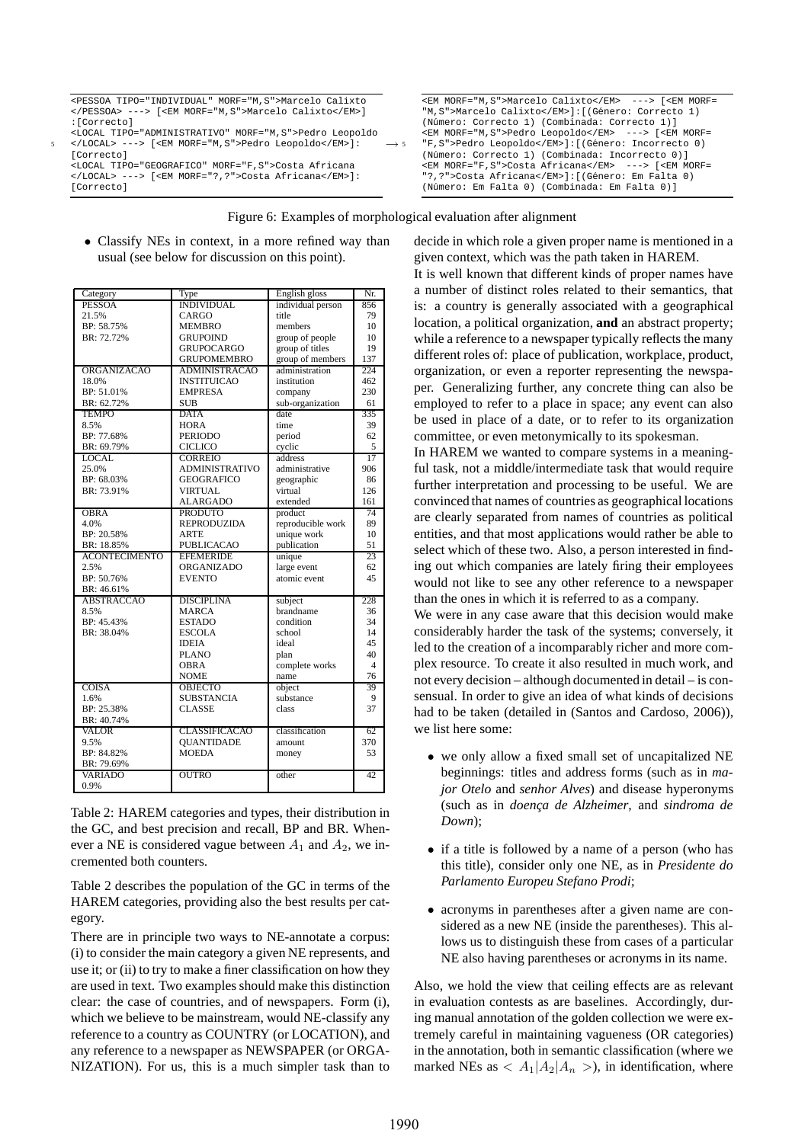| <pessoa morf="M, S" tipo="INDIVIDUAL">Marcelo Calixto</pessoa>  | <em morf="M, S">Marcelo Calixto</em> ---> [ <em morf="&lt;/td"></em> |
|-----------------------------------------------------------------|----------------------------------------------------------------------|
| ---> [ <em morf="M, S">Marcelo Calixto</em> ]                   | "M, S">Marcelo Calixto]: [(Género: Correcto 1)                       |
| :[Correcto]                                                     | (Número: Correcto 1) (Combinada: Correcto 1)]                        |
| <local morf="M, S" tipo="ADMINISTRATIVO">Pedro Leopoldo</local> | <em morf="M, S">Pedro Leopoldo</em> ---> [ <em morf="&lt;/td"></em>  |
| ---> [ <em morf="M,S">Pedro Leopoldo</em> ]:<br>$\rightarrow$ 5 | "F, S">Pedro Leopoldo]: [(Género: Incorrecto 0)                      |
| [Correcto]                                                      | (Número: Correcto 1) (Combinada: Incorrecto 0)]                      |
| <local morf="F, S" tipo="GEOGRAFICO">Costa Africana</local>     | <em morf="F.S">Costa Africana</em> ---> [ <em morf="&lt;/td"></em>   |
| ---> [ <em morf="?,?">Costa Africana</em> ]:                    | "?,?">Costa Africana]:[(Género: Em Falta 0)                          |
| [Correcto]                                                      | (Número: Em Falta 0) (Combinada: Em Falta 0)]                        |
|                                                                 |                                                                      |

Figure 6: Examples of morphological evaluation after alignment

• Classify NEs in context, in a more refined way than usual (see below for discussion on this point).

| Category             | Type                  | English gloss               | Nr.            |
|----------------------|-----------------------|-----------------------------|----------------|
| <b>PESSOA</b>        | <b>INDIVIDUAL</b>     | individual person           | 856            |
| 21.5%                | CARGO                 | title                       | 79             |
| BP: 58.75%           | <b>MEMBRO</b>         | members                     | 10             |
| BR: 72.72%           | <b>GRUPOIND</b>       | group of people             | 10             |
|                      | <b>GRUPOCARGO</b>     | group of titles             | 19             |
|                      | <b>GRUPOMEMBRO</b>    | group of members            | 137            |
| <b>ORGANIZACAO</b>   | <b>ADMINISTRACAO</b>  | administration              | 224            |
| 18.0%                | <b>INSTITUICAO</b>    | institution                 | 462            |
| BP: 51.01%           | <b>EMPRESA</b>        | company                     | 230            |
| BR: 62.72%           | <b>SUB</b>            | sub-organization            | 61             |
| <b>TEMPO</b>         | <b>DATA</b>           | date                        | 335            |
| 8.5%                 | <b>HORA</b>           | time                        | 39             |
| BP: 77.68%           | <b>PERIODO</b>        | period                      | 62             |
| BR: 69.79%           | <b>CICLICO</b>        | cyclic                      | 5              |
| <b>LOCAL</b>         | <b>CORREIO</b>        | address                     | 17             |
| 25.0%                | <b>ADMINISTRATIVO</b> | administrative              | 906            |
| BP: 68.03%           | <b>GEOGRAFICO</b>     | geographic                  | 86             |
| BR: 73.91%           | <b>VIRTUAL</b>        | virtual                     | 126            |
|                      | <b>ALARGADO</b>       | extended                    | 161            |
| <b>OBRA</b>          | <b>PRODUTO</b>        | product                     | 74             |
| 4.0%                 | <b>REPRODUZIDA</b>    | reproducible work           | 89             |
| BP: 20.58%           | <b>ARTE</b>           | unique work                 | 10             |
| BR: 18.85%           | <b>PUBLICACAO</b>     | publication                 | 51             |
|                      |                       |                             |                |
| <b>ACONTECIMENTO</b> | <b>EFEMERIDE</b>      | unique                      | 23             |
| 2.5%                 | <b>ORGANIZADO</b>     |                             | 62             |
| BP: 50.76%           | <b>EVENTO</b>         | large event<br>atomic event | 45             |
| BR: 46.61%           |                       |                             |                |
| <b>ABSTRACCAO</b>    | <b>DISCIPLINA</b>     | subject                     | 228            |
| 8.5%                 | <b>MARCA</b>          | brandname                   | 36             |
| BP: 45.43%           | <b>ESTADO</b>         | condition                   | 34             |
| BR: 38.04%           | <b>ESCOLA</b>         | school                      | 14             |
|                      | <b>IDEIA</b>          | ideal                       | 45             |
|                      | <b>PLANO</b>          | plan                        | 40             |
|                      | <b>OBRA</b>           | complete works              | $\overline{4}$ |
|                      | <b>NOME</b>           | name                        | 76             |
| <b>COISA</b>         | <b>OBJECTO</b>        | object                      | 39             |
| 1.6%                 | <b>SUBSTANCIA</b>     | substance                   | 9              |
| BP: 25.38%           | <b>CLASSE</b>         | class                       | 37             |
| BR: 40.74%           |                       |                             |                |
| <b>VALOR</b>         | <b>CLASSIFICACAO</b>  | classification              | 62             |
| 9.5%                 | <b>OUANTIDADE</b>     | amount                      | 370            |
| BP: 84.82%           | <b>MOEDA</b>          | money                       | 53             |
| BR: 79.69%           |                       |                             |                |
| <b>VARIADO</b>       | <b>OUTRO</b>          | other                       | 42             |
| 0.9%                 |                       |                             |                |

Table 2: HAREM categories and types, their distribution in the GC, and best precision and recall, BP and BR. Whenever a NE is considered vague between  $A_1$  and  $A_2$ , we incremented both counters.

Table 2 describes the population of the GC in terms of the HAREM categories, providing also the best results per category.

There are in principle two ways to NE-annotate a corpus: (i) to consider the main category a given NE represents, and use it; or (ii) to try to make a finer classification on how they are used in text. Two examples should make this distinction clear: the case of countries, and of newspapers. Form (i), which we believe to be mainstream, would NE-classify any reference to a country as COUNTRY (or LOCATION), and any reference to a newspaper as NEWSPAPER (or ORGA-NIZATION). For us, this is a much simpler task than to decide in which role a given proper name is mentioned in a given context, which was the path taken in HAREM.

It is well known that different kinds of proper names have a number of distinct roles related to their semantics, that is: a country is generally associated with a geographical location, a political organization, **and** an abstract property; while a reference to a newspaper typically reflects the many different roles of: place of publication, workplace, product, organization, or even a reporter representing the newspaper. Generalizing further, any concrete thing can also be employed to refer to a place in space; any event can also be used in place of a date, or to refer to its organization committee, or even metonymically to its spokesman.

In HAREM we wanted to compare systems in a meaningful task, not a middle/intermediate task that would require further interpretation and processing to be useful. We are convinced that names of countries as geographical locations are clearly separated from names of countries as political entities, and that most applications would rather be able to select which of these two. Also, a person interested in finding out which companies are lately firing their employees would not like to see any other reference to a newspaper than the ones in which it is referred to as a company.

We were in any case aware that this decision would make considerably harder the task of the systems; conversely, it led to the creation of a incomparably richer and more complex resource. To create it also resulted in much work, and not every decision – although documented in detail – is consensual. In order to give an idea of what kinds of decisions had to be taken (detailed in (Santos and Cardoso, 2006)), we list here some:

- we only allow a fixed small set of uncapitalized NE beginnings: titles and address forms (such as in *major Otelo* and *senhor Alves*) and disease hyperonyms (such as in *doença de Alzheimer*, and *sindroma de Down*);
- if a title is followed by a name of a person (who has this title), consider only one NE, as in *Presidente do Parlamento Europeu Stefano Prodi*;
- acronyms in parentheses after a given name are considered as a new NE (inside the parentheses). This allows us to distinguish these from cases of a particular NE also having parentheses or acronyms in its name.

Also, we hold the view that ceiling effects are as relevant in evaluation contests as are baselines. Accordingly, during manual annotation of the golden collection we were extremely careful in maintaining vagueness (OR categories) in the annotation, both in semantic classification (where we marked NEs as  $\langle A_1|A_2|A_n \rangle$ , in identification, where